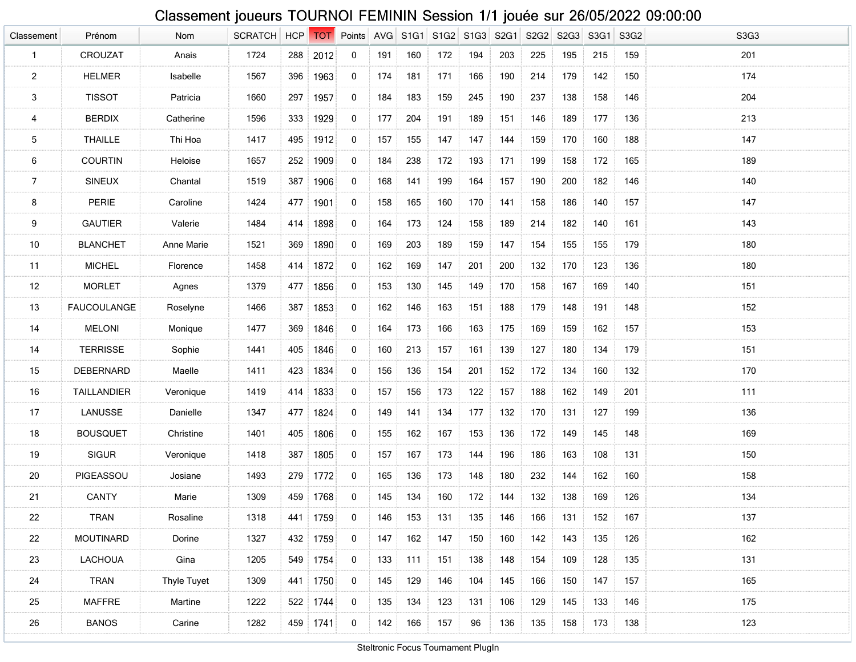## Classement joueurs TOURNOI FEMININ Session 1/1 jouée sur 26/05/2022 09:00:00

| Classement      | Prénom             | Nom         | <b>SCRATCH</b> | <b>HCP</b> | <b>TOT</b> | Points      | AVG | S <sub>1G1</sub> | S <sub>1</sub> G <sub>2</sub> | S <sub>1</sub> G <sub>3</sub> | S <sub>2</sub> G <sub>1</sub> | S2G2 | S2G3 | S3G1 | S3G <sub>2</sub> | S3G3 |
|-----------------|--------------------|-------------|----------------|------------|------------|-------------|-----|------------------|-------------------------------|-------------------------------|-------------------------------|------|------|------|------------------|------|
| $\mathbf{1}$    | CROUZAT            | Anais       | 1724           | 288        | 2012       | 0           | 191 | 160              | 172                           | 194                           | 203                           | 225  | 195  | 215  | 159              | 201  |
| $\overline{a}$  | <b>HELMER</b>      | Isabelle    | 1567           | 396        | 1963       | 0           | 174 | 181              | 171                           | 166                           | 190                           | 214  | 179  | 142  | 150              | 174  |
| $\mathbf{3}$    | <b>TISSOT</b>      | Patricia    | 1660           | 297        | 1957       | 0           | 184 | 183              | 159                           | 245                           | 190                           | 237  | 138  | 158  | 146              | 204  |
| 4               | <b>BERDIX</b>      | Catherine   | 1596           | 333        | 1929       | 0           | 177 | 204              | 191                           | 189                           | 151                           | 146  | 189  | 177  | 136              | 213  |
| $5\phantom{.0}$ | <b>THAILLE</b>     | Thi Hoa     | 1417           | 495        | 1912       | 0           | 157 | 155              | 147                           | 147                           | 144                           | 159  | 170  | 160  | 188              | 147  |
| 6               | <b>COURTIN</b>     | Heloise     | 1657           | 252        | 1909       | 0           | 184 | 238              | 172                           | 193                           | 171                           | 199  | 158  | 172  | 165              | 189  |
| $\overline{7}$  | <b>SINEUX</b>      | Chantal     | 1519           | 387        | 1906       | 0           | 168 | 141              | 199                           | 164                           | 157                           | 190  | 200  | 182  | 146              | 140  |
| 8               | PERIE              | Caroline    | 1424           | 477        | 1901       | 0           | 158 | 165              | 160                           | 170                           | 141                           | 158  | 186  | 140  | 157              | 147  |
| 9               | <b>GAUTIER</b>     | Valerie     | 1484           | 414        | 1898       | 0           | 164 | 173              | 124                           | 158                           | 189                           | 214  | 182  | 140  | 161              | 143  |
| 10              | <b>BLANCHET</b>    | Anne Marie  | 1521           | 369        | 1890       | 0           | 169 | 203              | 189                           | 159                           | 147                           | 154  | 155  | 155  | 179              | 180  |
| 11              | <b>MICHEL</b>      | Florence    | 1458           | 414        | 1872       | 0           | 162 | 169              | 147                           | 201                           | 200                           | 132  | 170  | 123  | 136              | 180  |
| 12              | <b>MORLET</b>      | Agnes       | 1379           | 477        | 1856       | 0           | 153 | 130              | 145                           | 149                           | 170                           | 158  | 167  | 169  | 140              | 151  |
| 13              | <b>FAUCOULANGE</b> | Roselyne    | 1466           | 387        | 1853       | 0           | 162 | 146              | 163                           | 151                           | 188                           | 179  | 148  | 191  | 148              | 152  |
| 14              | <b>MELONI</b>      | Monique     | 1477           | 369        | 1846       | 0           | 164 | 173              | 166                           | 163                           | 175                           | 169  | 159  | 162  | 157              | 153  |
| 14              | <b>TERRISSE</b>    | Sophie      | 1441           | 405        | 1846       | 0           | 160 | 213              | 157                           | 161                           | 139                           | 127  | 180  | 134  | 179              | 151  |
| 15              | DEBERNARD          | Maelle      | 1411           | 423        | 1834       | 0           | 156 | 136              | 154                           | 201                           | 152                           | 172  | 134  | 160  | 132              | 170  |
| 16              | <b>TAILLANDIER</b> | Veronique   | 1419           | 414        | 1833       | 0           | 157 | 156              | 173                           | 122                           | 157                           | 188  | 162  | 149  | 201              | 111  |
| 17              | LANUSSE            | Danielle    | 1347           | 477        | 1824       | 0           | 149 | 141              | 134                           | 177                           | 132                           | 170  | 131  | 127  | 199              | 136  |
| 18              | <b>BOUSQUET</b>    | Christine   | 1401           | 405        | 1806       | 0           | 155 | 162              | 167                           | 153                           | 136                           | 172  | 149  | 145  | 148              | 169  |
| 19              | <b>SIGUR</b>       | Veronique   | 1418           | 387        | 1805       | 0           | 157 | 167              | 173                           | 144                           | 196                           | 186  | 163  | 108  | 131              | 150  |
| 20              | PIGEASSOU          | Josiane     | 1493           | 279        | 1772       | 0           | 165 | 136              | 173                           | 148                           | 180                           | 232  | 144  | 162  | 160              | 158  |
| 21              | <b>CANTY</b>       | Marie       | 1309           | 459        | 1768       | 0           | 145 | 134              | 160                           | 172                           | 144                           | 132  | 138  | 169  | 126              | 134  |
| 22              | <b>TRAN</b>        | Rosaline    | 1318           | 441        | 1759       | 0           | 146 | 153              | 131                           | 135                           | 146                           | 166  | 131  | 152  | 167              | 137  |
| 22              | <b>MOUTINARD</b>   | Dorine      | 1327           | 432        | 1759       | $\mathbf 0$ | 147 | 162              | 147                           | 150                           | 160                           | 142  | 143  | 135  | 126              | 162  |
| 23              | <b>LACHOUA</b>     | Gina        | 1205           | 549        | 1754       | $\mathbf 0$ | 133 | 111              | 151                           | 138                           | 148                           | 154  | 109  | 128  | 135              | 131  |
| 24              | TRAN               | Thyle Tuyet | 1309           | 441        | 1750       | $\mathbf 0$ | 145 | 129              | 146                           | 104                           | 145                           | 166  | 150  | 147  | 157              | 165  |
| 25              | <b>MAFFRE</b>      | Martine     | 1222           | 522        | 1744       | 0           | 135 | 134              | 123                           | 131                           | 106                           | 129  | 145  | 133  | 146              | 175  |
| 26              | <b>BANOS</b>       | Carine      | 1282           |            | 459 1741   | $\mathbf 0$ | 142 | 166              | 157                           | 96                            | 136                           | 135  | 158  | 173  | 138              | 123  |